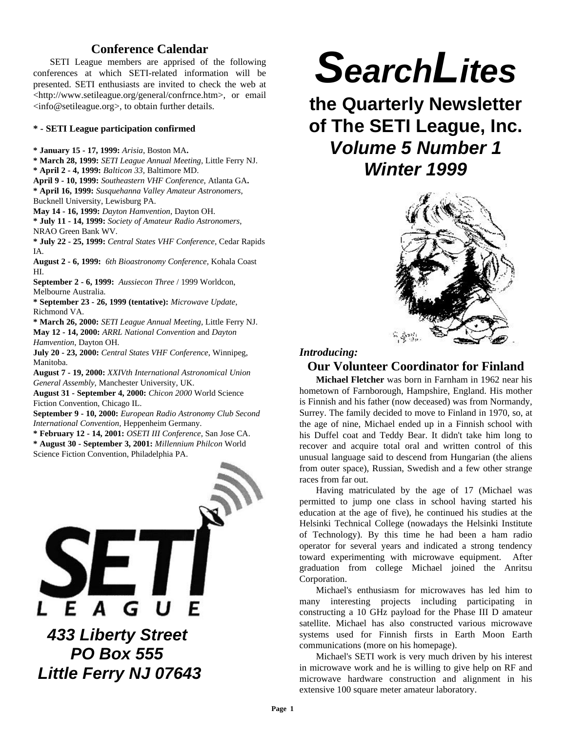# **Conference Calendar**

SETI League members are apprised of the following conferences at which SETI-related information will be presented. SETI enthusiasts are invited to check the web at <http://www.setileague.org/general/confrnce.htm>, or email <info@setileague.org>, to obtain further details.

#### **\* - SETI League participation confirmed**

**\* January 15 - 17, 1999:** *Arisia*, Boston MA**.**

- **\* March 28, 1999:** *SETI League Annual Meeting,* Little Ferry NJ.
- **\* April 2 4, 1999:** *Balticon 33,* Baltimore MD.
- **April 9 10, 1999:** *Southeastern VHF Conference*, Atlanta GA**. \* April 16, 1999:** *Susquehanna Valley Amateur Astronomers*,
- Bucknell University, Lewisburg PA.
- **May 14 16, 1999:** *Dayton Hamvention*, Dayton OH.

**\* July 11 - 14, 1999:** *Society of Amateur Radio Astronomers*, NRAO Green Bank WV.

**\* July 22 - 25, 1999:** *Central States VHF Conference*, Cedar Rapids IA.

**August 2 - 6, 1999:** *6th Bioastronomy Conference,* Kohala Coast HI.

**September 2 - 6, 1999:** *Aussiecon Three* / 1999 Worldcon, Melbourne Australia.

**\* September 23 - 26, 1999 (tentative):** *Microwave Update*, Richmond VA.

**\* March 26, 2000:** *SETI League Annual Meeting,* Little Ferry NJ. **May 12 - 14, 2000:** *ARRL National Convention* and *Dayton Hamvention*, Dayton OH.

**July 20 - 23, 2000:** *Central States VHF Conference*, Winnipeg, Manitoba.

**August 7 - 19, 2000:** *XXIVth International Astronomical Union General Assembly*, Manchester University, UK.

**August 31 - September 4, 2000:** *Chicon 2000* World Science Fiction Convention, Chicago IL.

**September 9 - 10, 2000:** *European Radio Astronomy Club Second International Convention,* Heppenheim Germany.

**\* February 12 - 14, 2001:** *OSETI III Conference*, San Jose CA. **\* August 30 - September 3, 2001:** *Millennium Philcon* World Science Fiction Convention, Philadelphia PA.



 *433 Liberty Street PO Box 555 Little Ferry NJ 07643*

# *SearchLites*

**the Quarterly Newsletter of The SETI League, Inc.** *Volume 5 Number 1 Winter 1999*



## *Introducing:*

## **Our Volunteer Coordinator for Finland**

**Michael Fletcher** was born in Farnham in 1962 near his hometown of Farnborough, Hampshire, England. His mother is Finnish and his father (now deceased) was from Normandy, Surrey. The family decided to move to Finland in 1970, so, at the age of nine, Michael ended up in a Finnish school with his Duffel coat and Teddy Bear. It didn't take him long to recover and acquire total oral and written control of this unusual language said to descend from Hungarian (the aliens from outer space), Russian, Swedish and a few other strange races from far out.

Having matriculated by the age of 17 (Michael was permitted to jump one class in school having started his education at the age of five), he continued his studies at the Helsinki Technical College (nowadays the Helsinki Institute of Technology). By this time he had been a ham radio operator for several years and indicated a strong tendency toward experimenting with microwave equipment. After graduation from college Michael joined the Anritsu Corporation.

Michael's enthusiasm for microwaves has led him to many interesting projects including participating in constructing a 10 GHz payload for the Phase III D amateur satellite. Michael has also constructed various microwave systems used for Finnish firsts in Earth Moon Earth communications (more on his homepage).

Michael's SETI work is very much driven by his interest in microwave work and he is willing to give help on RF and microwave hardware construction and alignment in his extensive 100 square meter amateur laboratory.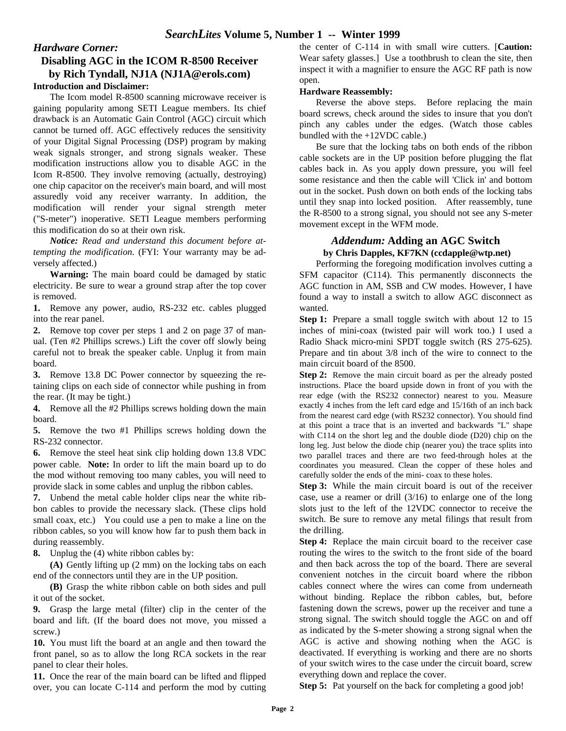# *Hardware Corner:*

## **Disabling AGC in the ICOM R-8500 Receiver by Rich Tyndall, NJ1A (NJ1A@erols.com) Introduction and Disclaimer:**

The Icom model R-8500 scanning microwave receiver is gaining popularity among SETI League members. Its chief drawback is an Automatic Gain Control (AGC) circuit which cannot be turned off. AGC effectively reduces the sensitivity of your Digital Signal Processing (DSP) program by making weak signals stronger, and strong signals weaker. These modification instructions allow you to disable AGC in the Icom R-8500. They involve removing (actually, destroying) one chip capacitor on the receiver's main board, and will most assuredly void any receiver warranty. In addition, the modification will render your signal strength meter ("S-meter") inoperative. SETI League members performing this modification do so at their own risk.

*Notice: Read and understand this document before attempting the modification.* (FYI: Your warranty may be adversely affected.)

**Warning:** The main board could be damaged by static electricity. Be sure to wear a ground strap after the top cover is removed.

**1.** Remove any power, audio, RS-232 etc. cables plugged into the rear panel.

**2.** Remove top cover per steps 1 and 2 on page 37 of manual. (Ten #2 Phillips screws.) Lift the cover off slowly being careful not to break the speaker cable. Unplug it from main board.

**3.** Remove 13.8 DC Power connector by squeezing the retaining clips on each side of connector while pushing in from the rear. (It may be tight.)

**4.** Remove all the #2 Phillips screws holding down the main board.

**5.** Remove the two #1 Phillips screws holding down the RS-232 connector.

**6.** Remove the steel heat sink clip holding down 13.8 VDC power cable. **Note:** In order to lift the main board up to do the mod without removing too many cables, you will need to provide slack in some cables and unplug the ribbon cables.

**7.** Unbend the metal cable holder clips near the white ribbon cables to provide the necessary slack. (These clips hold small coax, etc.) You could use a pen to make a line on the ribbon cables, so you will know how far to push them back in during reassembly.

**8.** Unplug the (4) white ribbon cables by:

**(A)** Gently lifting up (2 mm) on the locking tabs on each end of the connectors until they are in the UP position.

**(B)** Grasp the white ribbon cable on both sides and pull it out of the socket.

**9.** Grasp the large metal (filter) clip in the center of the board and lift. (If the board does not move, you missed a screw.)

**10.** You must lift the board at an angle and then toward the front panel, so as to allow the long RCA sockets in the rear panel to clear their holes.

**11.** Once the rear of the main board can be lifted and flipped over, you can locate C-114 and perform the mod by cutting the center of C-114 in with small wire cutters. [**Caution:** Wear safety glasses.] Use a toothbrush to clean the site, then inspect it with a magnifier to ensure the AGC RF path is now open.

## **Hardware Reassembly:**

Reverse the above steps. Before replacing the main board screws, check around the sides to insure that you don't pinch any cables under the edges. (Watch those cables bundled with the +12VDC cable.)

Be sure that the locking tabs on both ends of the ribbon cable sockets are in the UP position before plugging the flat cables back in. As you apply down pressure, you will feel some resistance and then the cable will 'Click in' and bottom out in the socket. Push down on both ends of the locking tabs until they snap into locked position. After reassembly, tune the R-8500 to a strong signal, you should not see any S-meter movement except in the WFM mode.

## *Addendum:* **Adding an AGC Switch**

#### **by Chris Dapples, KF7KN (ccdapple@wtp.net)**

Performing the foregoing modification involves cutting a SFM capacitor (C114). This permanently disconnects the AGC function in AM, SSB and CW modes. However, I have found a way to install a switch to allow AGC disconnect as wanted.

**Step 1:** Prepare a small toggle switch with about 12 to 15 inches of mini-coax (twisted pair will work too.) I used a Radio Shack micro-mini SPDT toggle switch (RS 275-625). Prepare and tin about 3/8 inch of the wire to connect to the main circuit board of the 8500.

**Step 2:** Remove the main circuit board as per the already posted instructions. Place the board upside down in front of you with the rear edge (with the RS232 connector) nearest to you. Measure exactly 4 inches from the left card edge and 15/16th of an inch back from the nearest card edge (with RS232 connector). You should find at this point a trace that is an inverted and backwards "L" shape with C114 on the short leg and the double diode (D20) chip on the long leg. Just below the diode chip (nearer you) the trace splits into two parallel traces and there are two feed-through holes at the coordinates you measured. Clean the copper of these holes and carefully solder the ends of the mini- coax to these holes.

**Step 3:** While the main circuit board is out of the receiver case, use a reamer or drill (3/16) to enlarge one of the long slots just to the left of the 12VDC connector to receive the switch. Be sure to remove any metal filings that result from the drilling.

**Step 4:** Replace the main circuit board to the receiver case routing the wires to the switch to the front side of the board and then back across the top of the board. There are several convenient notches in the circuit board where the ribbon cables connect where the wires can come from underneath without binding. Replace the ribbon cables, but, before fastening down the screws, power up the receiver and tune a strong signal. The switch should toggle the AGC on and off as indicated by the S-meter showing a strong signal when the AGC is active and showing nothing when the AGC is deactivated. If everything is working and there are no shorts of your switch wires to the case under the circuit board, screw everything down and replace the cover.

**Step 5:** Pat yourself on the back for completing a good job!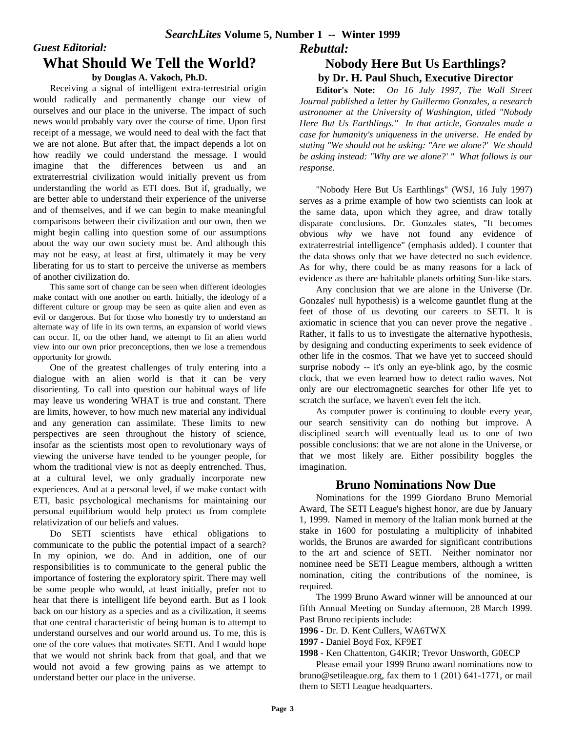# *Guest Editorial:* **What Should We Tell the World?**

## **by Douglas A. Vakoch, Ph.D.**

Receiving a signal of intelligent extra-terrestrial origin would radically and permanently change our view of ourselves and our place in the universe. The impact of such news would probably vary over the course of time. Upon first receipt of a message, we would need to deal with the fact that we are not alone. But after that, the impact depends a lot on how readily we could understand the message. I would imagine that the differences between us and an extraterrestrial civilization would initially prevent us from understanding the world as ETI does. But if, gradually, we are better able to understand their experience of the universe and of themselves, and if we can begin to make meaningful comparisons between their civilization and our own, then we might begin calling into question some of our assumptions about the way our own society must be. And although this may not be easy, at least at first, ultimately it may be very liberating for us to start to perceive the universe as members of another civilization do.

This same sort of change can be seen when different ideologies make contact with one another on earth. Initially, the ideology of a different culture or group may be seen as quite alien and even as evil or dangerous. But for those who honestly try to understand an alternate way of life in its own terms, an expansion of world views can occur. If, on the other hand, we attempt to fit an alien world view into our own prior preconceptions, then we lose a tremendous opportunity for growth.

One of the greatest challenges of truly entering into a dialogue with an alien world is that it can be very disorienting. To call into question our habitual ways of life may leave us wondering WHAT is true and constant. There are limits, however, to how much new material any individual and any generation can assimilate. These limits to new perspectives are seen throughout the history of science, insofar as the scientists most open to revolutionary ways of viewing the universe have tended to be younger people, for whom the traditional view is not as deeply entrenched. Thus, at a cultural level, we only gradually incorporate new experiences. And at a personal level, if we make contact with ETI, basic psychological mechanisms for maintaining our personal equilibrium would help protect us from complete relativization of our beliefs and values.

Do SETI scientists have ethical obligations to communicate to the public the potential impact of a search? In my opinion, we do. And in addition, one of our responsibilities is to communicate to the general public the importance of fostering the exploratory spirit. There may well be some people who would, at least initially, prefer not to hear that there is intelligent life beyond earth. But as I look back on our history as a species and as a civilization, it seems that one central characteristic of being human is to attempt to understand ourselves and our world around us. To me, this is one of the core values that motivates SETI. And I would hope that we would not shrink back from that goal, and that we would not avoid a few growing pains as we attempt to understand better our place in the universe.

## *Rebuttal:*

## **Nobody Here But Us Earthlings? by Dr. H. Paul Shuch, Executive Director**

**Editor's Note:** *On 16 July 1997, The Wall Street Journal published a letter by Guillermo Gonzales, a research astronomer at the University of Washington, titled "Nobody Here But Us Earthlings." In that article, Gonzales made a case for humanity's uniqueness in the universe. He ended by stating "We should not be asking: "Are we alone?' We should be asking instead: "Why are we alone?' " What follows is our response.*

"Nobody Here But Us Earthlings" (WSJ, 16 July 1997) serves as a prime example of how two scientists can look at the same data, upon which they agree, and draw totally disparate conclusions. Dr. Gonzales states, "It becomes obvious *why* we have not found any evidence of extraterrestrial intelligence" (emphasis added). I counter that the data shows only that we have detected no such evidence. As for why, there could be as many reasons for a lack of evidence as there are habitable planets orbiting Sun-like stars.

Any conclusion that we are alone in the Universe (Dr. Gonzales' null hypothesis) is a welcome gauntlet flung at the feet of those of us devoting our careers to SETI. It is axiomatic in science that you can never prove the negative . Rather, it falls to us to investigate the alternative hypothesis, by designing and conducting experiments to seek evidence of other life in the cosmos. That we have yet to succeed should surprise nobody -- it's only an eye-blink ago, by the cosmic clock, that we even learned how to detect radio waves. Not only are our electromagnetic searches for other life yet to scratch the surface, we haven't even felt the itch.

As computer power is continuing to double every year, our search sensitivity can do nothing but improve. A disciplined search will eventually lead us to one of two possible conclusions: that we are not alone in the Universe, or that we most likely are. Either possibility boggles the imagination.

## **Bruno Nominations Now Due**

Nominations for the 1999 Giordano Bruno Memorial Award, The SETI League's highest honor, are due by January 1, 1999. Named in memory of the Italian monk burned at the stake in 1600 for postulating a multiplicity of inhabited worlds, the Brunos are awarded for significant contributions to the art and science of SETI. Neither nominator nor nominee need be SETI League members, although a written nomination, citing the contributions of the nominee, is required.

The 1999 Bruno Award winner will be announced at our fifth Annual Meeting on Sunday afternoon, 28 March 1999. Past Bruno recipients include:

**1996** - Dr. D. Kent Cullers, WA6TWX

**1997** - Daniel Boyd Fox, KF9ET

**1998** - Ken Chattenton, G4KIR; Trevor Unsworth, G0ECP

Please email your 1999 Bruno award nominations now to bruno@setileague.org, fax them to 1 (201) 641-1771, or mail them to SETI League headquarters.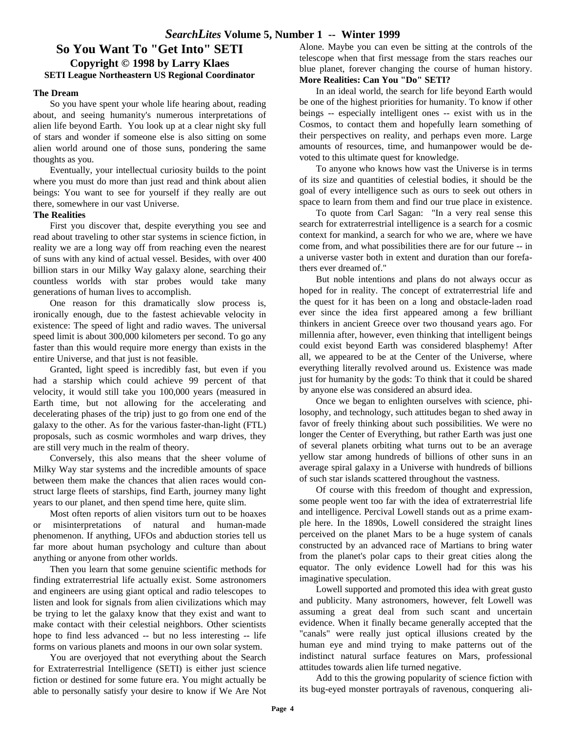## **So You Want To "Get Into" SETI Copyright © 1998 by Larry Klaes SETI League Northeastern US Regional Coordinator**

#### **The Dream**

So you have spent your whole life hearing about, reading about, and seeing humanity's numerous interpretations of alien life beyond Earth. You look up at a clear night sky full of stars and wonder if someone else is also sitting on some alien world around one of those suns, pondering the same thoughts as you.

Eventually, your intellectual curiosity builds to the point where you must do more than just read and think about alien beings: You want to see for yourself if they really are out there, somewhere in our vast Universe.

#### **The Realities**

First you discover that, despite everything you see and read about traveling to other star systems in science fiction, in reality we are a long way off from reaching even the nearest of suns with any kind of actual vessel. Besides, with over 400 billion stars in our Milky Way galaxy alone, searching their countless worlds with star probes would take many generations of human lives to accomplish.

One reason for this dramatically slow process is, ironically enough, due to the fastest achievable velocity in existence: The speed of light and radio waves. The universal speed limit is about 300,000 kilometers per second. To go any faster than this would require more energy than exists in the entire Universe, and that just is not feasible.

Granted, light speed is incredibly fast, but even if you had a starship which could achieve 99 percent of that velocity, it would still take you 100,000 years (measured in Earth time, but not allowing for the accelerating and decelerating phases of the trip) just to go from one end of the galaxy to the other. As for the various faster-than-light (FTL) proposals, such as cosmic wormholes and warp drives, they are still very much in the realm of theory.

Conversely, this also means that the sheer volume of Milky Way star systems and the incredible amounts of space between them make the chances that alien races would construct large fleets of starships, find Earth, journey many light years to our planet, and then spend time here, quite slim.

Most often reports of alien visitors turn out to be hoaxes or misinterpretations of natural and human-made phenomenon. If anything, UFOs and abduction stories tell us far more about human psychology and culture than about anything or anyone from other worlds.

Then you learn that some genuine scientific methods for finding extraterrestrial life actually exist. Some astronomers and engineers are using giant optical and radio telescopes to listen and look for signals from alien civilizations which may be trying to let the galaxy know that they exist and want to make contact with their celestial neighbors. Other scientists hope to find less advanced -- but no less interesting -- life forms on various planets and moons in our own solar system.

You are overjoyed that not everything about the Search for Extraterrestrial Intelligence (SETI) is either just science fiction or destined for some future era. You might actually be able to personally satisfy your desire to know if We Are Not Alone. Maybe you can even be sitting at the controls of the telescope when that first message from the stars reaches our blue planet, forever changing the course of human history. **More Realities: Can You "Do" SETI?**

In an ideal world, the search for life beyond Earth would be one of the highest priorities for humanity. To know if other beings -- especially intelligent ones -- exist with us in the Cosmos, to contact them and hopefully learn something of their perspectives on reality, and perhaps even more. Large amounts of resources, time, and humanpower would be devoted to this ultimate quest for knowledge.

To anyone who knows how vast the Universe is in terms of its size and quantities of celestial bodies, it should be the goal of every intelligence such as ours to seek out others in space to learn from them and find our true place in existence.

To quote from Carl Sagan: "In a very real sense this search for extraterrestrial intelligence is a search for a cosmic context for mankind, a search for who we are, where we have come from, and what possibilities there are for our future -- in a universe vaster both in extent and duration than our forefathers ever dreamed of."

But noble intentions and plans do not always occur as hoped for in reality. The concept of extraterrestrial life and the quest for it has been on a long and obstacle-laden road ever since the idea first appeared among a few brilliant thinkers in ancient Greece over two thousand years ago. For millennia after, however, even thinking that intelligent beings could exist beyond Earth was considered blasphemy! After all, we appeared to be at the Center of the Universe, where everything literally revolved around us. Existence was made just for humanity by the gods: To think that it could be shared by anyone else was considered an absurd idea.

Once we began to enlighten ourselves with science, philosophy, and technology, such attitudes began to shed away in favor of freely thinking about such possibilities. We were no longer the Center of Everything, but rather Earth was just one of several planets orbiting what turns out to be an average yellow star among hundreds of billions of other suns in an average spiral galaxy in a Universe with hundreds of billions of such star islands scattered throughout the vastness.

Of course with this freedom of thought and expression, some people went too far with the idea of extraterrestrial life and intelligence. Percival Lowell stands out as a prime example here. In the 1890s, Lowell considered the straight lines perceived on the planet Mars to be a huge system of canals constructed by an advanced race of Martians to bring water from the planet's polar caps to their great cities along the equator. The only evidence Lowell had for this was his imaginative speculation.

Lowell supported and promoted this idea with great gusto and publicity. Many astronomers, however, felt Lowell was assuming a great deal from such scant and uncertain evidence. When it finally became generally accepted that the "canals" were really just optical illusions created by the human eye and mind trying to make patterns out of the indistinct natural surface features on Mars, professional attitudes towards alien life turned negative.

Add to this the growing popularity of science fiction with its bug-eyed monster portrayals of ravenous, conquering ali-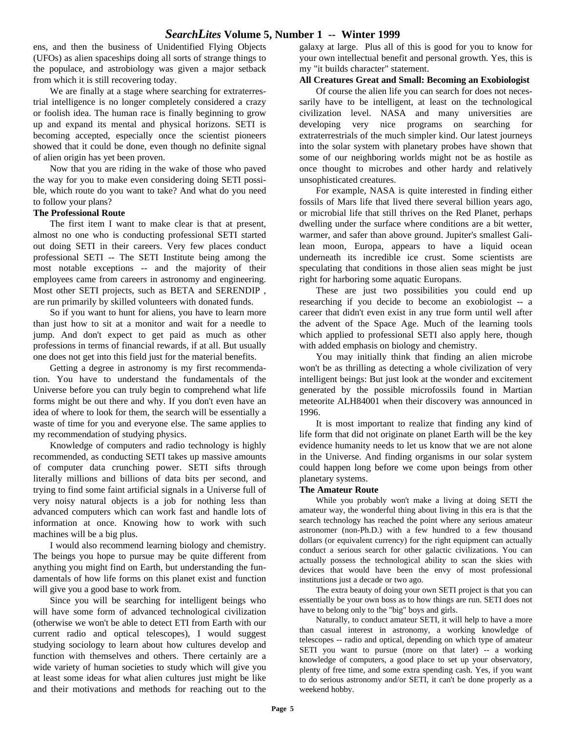## *SearchLites* **Volume 5, Number 1 -- Winter 1999**

ens, and then the business of Unidentified Flying Objects (UFOs) as alien spaceships doing all sorts of strange things to the populace, and astrobiology was given a major setback from which it is still recovering today.

We are finally at a stage where searching for extraterrestrial intelligence is no longer completely considered a crazy or foolish idea. The human race is finally beginning to grow up and expand its mental and physical horizons. SETI is becoming accepted, especially once the scientist pioneers showed that it could be done, even though no definite signal of alien origin has yet been proven.

Now that you are riding in the wake of those who paved the way for you to make even considering doing SETI possible, which route do you want to take? And what do you need to follow your plans?

#### **The Professional Route**

The first item I want to make clear is that at present, almost no one who is conducting professional SETI started out doing SETI in their careers. Very few places conduct professional SETI -- The SETI Institute being among the most notable exceptions -- and the majority of their employees came from careers in astronomy and engineering. Most other SETI projects, such as BETA and SERENDIP , are run primarily by skilled volunteers with donated funds.

So if you want to hunt for aliens, you have to learn more than just how to sit at a monitor and wait for a needle to jump. And don't expect to get paid as much as other professions in terms of financial rewards, if at all. But usually one does not get into this field just for the material benefits.

Getting a degree in astronomy is my first recommendation. You have to understand the fundamentals of the Universe before you can truly begin to comprehend what life forms might be out there and why. If you don't even have an idea of where to look for them, the search will be essentially a waste of time for you and everyone else. The same applies to my recommendation of studying physics.

Knowledge of computers and radio technology is highly recommended, as conducting SETI takes up massive amounts of computer data crunching power. SETI sifts through literally millions and billions of data bits per second, and trying to find some faint artificial signals in a Universe full of very noisy natural objects is a job for nothing less than advanced computers which can work fast and handle lots of information at once. Knowing how to work with such machines will be a big plus.

I would also recommend learning biology and chemistry. The beings you hope to pursue may be quite different from anything you might find on Earth, but understanding the fundamentals of how life forms on this planet exist and function will give you a good base to work from.

Since you will be searching for intelligent beings who will have some form of advanced technological civilization (otherwise we won't be able to detect ETI from Earth with our current radio and optical telescopes), I would suggest studying sociology to learn about how cultures develop and function with themselves and others. There certainly are a wide variety of human societies to study which will give you at least some ideas for what alien cultures just might be like and their motivations and methods for reaching out to the galaxy at large. Plus all of this is good for you to know for your own intellectual benefit and personal growth. Yes, this is my "it builds character" statement.

#### **All Creatures Great and Small: Becoming an Exobiologist**

Of course the alien life you can search for does not necessarily have to be intelligent, at least on the technological civilization level. NASA and many universities are developing very nice programs on searching for extraterrestrials of the much simpler kind. Our latest journeys into the solar system with planetary probes have shown that some of our neighboring worlds might not be as hostile as once thought to microbes and other hardy and relatively unsophisticated creatures.

For example, NASA is quite interested in finding either fossils of Mars life that lived there several billion years ago, or microbial life that still thrives on the Red Planet, perhaps dwelling under the surface where conditions are a bit wetter, warmer, and safer than above ground. Jupiter's smallest Galilean moon, Europa, appears to have a liquid ocean underneath its incredible ice crust. Some scientists are speculating that conditions in those alien seas might be just right for harboring some aquatic Europans.

These are just two possibilities you could end up researching if you decide to become an exobiologist -- a career that didn't even exist in any true form until well after the advent of the Space Age. Much of the learning tools which applied to professional SETI also apply here, though with added emphasis on biology and chemistry.

You may initially think that finding an alien microbe won't be as thrilling as detecting a whole civilization of very intelligent beings: But just look at the wonder and excitement generated by the possible microfossils found in Martian meteorite ALH84001 when their discovery was announced in 1996.

It is most important to realize that finding any kind of life form that did not originate on planet Earth will be the key evidence humanity needs to let us know that we are not alone in the Universe. And finding organisms in our solar system could happen long before we come upon beings from other planetary systems.

#### **The Amateur Route**

While you probably won't make a living at doing SETI the amateur way, the wonderful thing about living in this era is that the search technology has reached the point where any serious amateur astronomer (non-Ph.D.) with a few hundred to a few thousand dollars (or equivalent currency) for the right equipment can actually conduct a serious search for other galactic civilizations. You can actually possess the technological ability to scan the skies with devices that would have been the envy of most professional institutions just a decade or two ago.

The extra beauty of doing your own SETI project is that you can essentially be your own boss as to how things are run. SETI does not have to belong only to the "big" boys and girls.

Naturally, to conduct amateur SETI, it will help to have a more than casual interest in astronomy, a working knowledge of telescopes -- radio and optical, depending on which type of amateur SETI you want to pursue (more on that later) -- a working knowledge of computers, a good place to set up your observatory, plenty of free time, and some extra spending cash. Yes, if you want to do serious astronomy and/or SETI, it can't be done properly as a weekend hobby.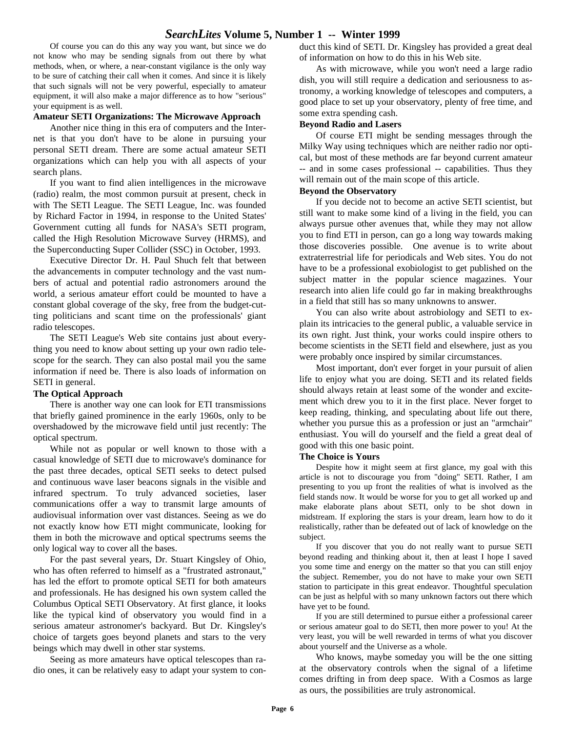## *SearchLites* **Volume 5, Number 1 -- Winter 1999**

Of course you can do this any way you want, but since we do not know who may be sending signals from out there by what methods, when, or where, a near-constant vigilance is the only way to be sure of catching their call when it comes. And since it is likely that such signals will not be very powerful, especially to amateur equipment, it will also make a major difference as to how "serious" your equipment is as well.

#### **Amateur SETI Organizations: The Microwave Approach**

Another nice thing in this era of computers and the Internet is that you don't have to be alone in pursuing your personal SETI dream. There are some actual amateur SETI organizations which can help you with all aspects of your search plans.

If you want to find alien intelligences in the microwave (radio) realm, the most common pursuit at present, check in with The SETI League. The SETI League, Inc. was founded by Richard Factor in 1994, in response to the United States' Government cutting all funds for NASA's SETI program, called the High Resolution Microwave Survey (HRMS), and the Superconducting Super Collider (SSC) in October, 1993.

Executive Director Dr. H. Paul Shuch felt that between the advancements in computer technology and the vast numbers of actual and potential radio astronomers around the world, a serious amateur effort could be mounted to have a constant global coverage of the sky, free from the budget-cutting politicians and scant time on the professionals' giant radio telescopes.

The SETI League's Web site contains just about everything you need to know about setting up your own radio telescope for the search. They can also postal mail you the same information if need be. There is also loads of information on SETI in general.

#### **The Optical Approach**

There is another way one can look for ETI transmissions that briefly gained prominence in the early 1960s, only to be overshadowed by the microwave field until just recently: The optical spectrum.

While not as popular or well known to those with a casual knowledge of SETI due to microwave's dominance for the past three decades, optical SETI seeks to detect pulsed and continuous wave laser beacons signals in the visible and infrared spectrum. To truly advanced societies, laser communications offer a way to transmit large amounts of audiovisual information over vast distances. Seeing as we do not exactly know how ETI might communicate, looking for them in both the microwave and optical spectrums seems the only logical way to cover all the bases.

For the past several years, Dr. Stuart Kingsley of Ohio, who has often referred to himself as a "frustrated astronaut," has led the effort to promote optical SETI for both amateurs and professionals. He has designed his own system called the Columbus Optical SETI Observatory. At first glance, it looks like the typical kind of observatory you would find in a serious amateur astronomer's backyard. But Dr. Kingsley's choice of targets goes beyond planets and stars to the very beings which may dwell in other star systems.

Seeing as more amateurs have optical telescopes than radio ones, it can be relatively easy to adapt your system to conduct this kind of SETI. Dr. Kingsley has provided a great deal of information on how to do this in his Web site.

As with microwave, while you won't need a large radio dish, you will still require a dedication and seriousness to astronomy, a working knowledge of telescopes and computers, a good place to set up your observatory, plenty of free time, and some extra spending cash.

#### **Beyond Radio and Lasers**

Of course ETI might be sending messages through the Milky Way using techniques which are neither radio nor optical, but most of these methods are far beyond current amateur -- and in some cases professional -- capabilities. Thus they will remain out of the main scope of this article.

#### **Beyond the Observatory**

If you decide not to become an active SETI scientist, but still want to make some kind of a living in the field, you can always pursue other avenues that, while they may not allow you to find ETI in person, can go a long way towards making those discoveries possible. One avenue is to write about extraterrestrial life for periodicals and Web sites. You do not have to be a professional exobiologist to get published on the subject matter in the popular science magazines. Your research into alien life could go far in making breakthroughs in a field that still has so many unknowns to answer.

You can also write about astrobiology and SETI to explain its intricacies to the general public, a valuable service in its own right. Just think, your works could inspire others to become scientists in the SETI field and elsewhere, just as you were probably once inspired by similar circumstances.

Most important, don't ever forget in your pursuit of alien life to enjoy what you are doing. SETI and its related fields should always retain at least some of the wonder and excitement which drew you to it in the first place. Never forget to keep reading, thinking, and speculating about life out there, whether you pursue this as a profession or just an "armchair" enthusiast. You will do yourself and the field a great deal of good with this one basic point.

#### **The Choice is Yours**

Despite how it might seem at first glance, my goal with this article is not to discourage you from "doing" SETI. Rather, I am presenting to you up front the realities of what is involved as the field stands now. It would be worse for you to get all worked up and make elaborate plans about SETI, only to be shot down in midstream. If exploring the stars is your dream, learn how to do it realistically, rather than be defeated out of lack of knowledge on the subject.

If you discover that you do not really want to pursue SETI beyond reading and thinking about it, then at least I hope I saved you some time and energy on the matter so that you can still enjoy the subject. Remember, you do not have to make your own SETI station to participate in this great endeavor. Thoughtful speculation can be just as helpful with so many unknown factors out there which have yet to be found.

If you are still determined to pursue either a professional career or serious amateur goal to do SETI, then more power to you! At the very least, you will be well rewarded in terms of what you discover about yourself and the Universe as a whole.

Who knows, maybe someday you will be the one sitting at the observatory controls when the signal of a lifetime comes drifting in from deep space. With a Cosmos as large as ours, the possibilities are truly astronomical.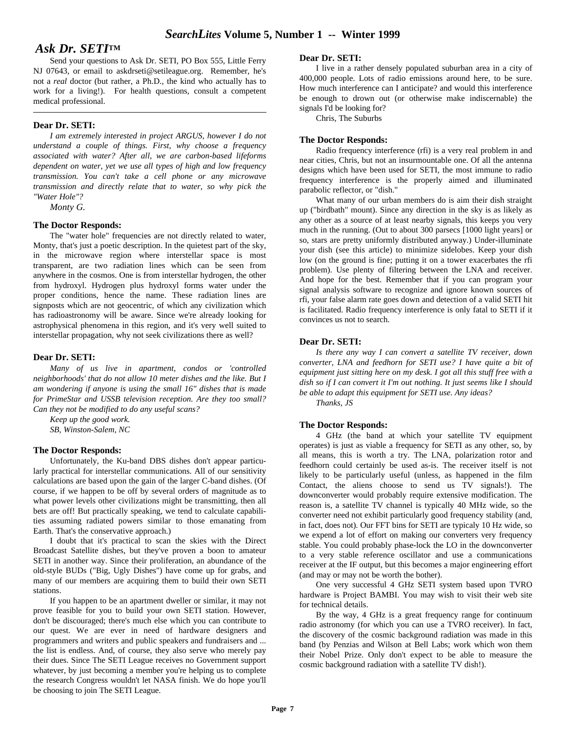## *Ask Dr. SETI***TM**

Send your questions to Ask Dr. SETI, PO Box 555, Little Ferry NJ 07643, or email to askdrseti@setileague.org. Remember, he's not a *real* doctor (but rather, a Ph.D., the kind who actually has to work for a living!). For health questions, consult a competent medical professional.

#### **Dear Dr. SETI:**

*I am extremely interested in project ARGUS, however I do not understand a couple of things. First, why choose a frequency associated with water? After all, we are carbon-based lifeforms dependent on water, yet we use all types of high and low frequency transmission. You can't take a cell phone or any microwave transmission and directly relate that to water, so why pick the "Water Hole"?*

*Monty G.*

#### **The Doctor Responds:**

The "water hole" frequencies are not directly related to water, Monty, that's just a poetic description. In the quietest part of the sky, in the microwave region where interstellar space is most transparent, are two radiation lines which can be seen from anywhere in the cosmos. One is from interstellar hydrogen, the other from hydroxyl. Hydrogen plus hydroxyl forms water under the proper conditions, hence the name. These radiation lines are signposts which are not geocentric, of which any civilization which has radioastronomy will be aware. Since we're already looking for astrophysical phenomena in this region, and it's very well suited to interstellar propagation, why not seek civilizations there as well?

#### **Dear Dr. SETI:**

*Many of us live in apartment, condos or 'controlled neighborhoods' that do not allow 10 meter dishes and the like. But I am wondering if anyone is using the small 16" dishes that is made for PrimeStar and USSB television reception. Are they too small? Can they not be modified to do any useful scans?*

*Keep up the good work. SB, Winston-Salem, NC*

#### **The Doctor Responds:**

Unfortunately, the Ku-band DBS dishes don't appear particularly practical for interstellar communications. All of our sensitivity calculations are based upon the gain of the larger C-band dishes. (Of course, if we happen to be off by several orders of magnitude as to what power levels other civilizations might be transmitting, then all bets are off! But practically speaking, we tend to calculate capabilities assuming radiated powers similar to those emanating from Earth. That's the conservative approach.)

I doubt that it's practical to scan the skies with the Direct Broadcast Satellite dishes, but they've proven a boon to amateur SETI in another way. Since their proliferation, an abundance of the old-style BUDs ("Big, Ugly Dishes") have come up for grabs, and many of our members are acquiring them to build their own SETI stations.

If you happen to be an apartment dweller or similar, it may not prove feasible for you to build your own SETI station. However, don't be discouraged; there's much else which you can contribute to our quest. We are ever in need of hardware designers and programmers and writers and public speakers and fundraisers and ... the list is endless. And, of course, they also serve who merely pay their dues. Since The SETI League receives no Government support whatever, by just becoming a member you're helping us to complete the research Congress wouldn't let NASA finish. We do hope you'll be choosing to join The SETI League.

#### **Dear Dr. SETI:**

I live in a rather densely populated suburban area in a city of 400,000 people. Lots of radio emissions around here, to be sure. How much interference can I anticipate? and would this interference be enough to drown out (or otherwise make indiscernable) the signals I'd be looking for?

Chris, The Suburbs

#### **The Doctor Responds:**

Radio frequency interference (rfi) is a very real problem in and near cities, Chris, but not an insurmountable one. Of all the antenna designs which have been used for SETI, the most immune to radio frequency interference is the properly aimed and illuminated parabolic reflector, or "dish."

What many of our urban members do is aim their dish straight up ("birdbath" mount). Since any direction in the sky is as likely as any other as a source of at least nearby signals, this keeps you very much in the running. (Out to about 300 parsecs [1000 light years] or so, stars are pretty uniformly distributed anyway.) Under-illuminate your dish (see this article) to minimize sidelobes. Keep your dish low (on the ground is fine; putting it on a tower exacerbates the rfi problem). Use plenty of filtering between the LNA and receiver. And hope for the best. Remember that if you can program your signal analysis software to recognize and ignore known sources of rfi, your false alarm rate goes down and detection of a valid SETI hit is facilitated. Radio frequency interference is only fatal to SETI if it convinces us not to search.

#### **Dear Dr. SETI:**

*Is there any way I can convert a satellite TV receiver, down converter, LNA and feedhorn for SETI use? I have quite a bit of equipment just sitting here on my desk. I got all this stuff free with a dish so if I can convert it I'm out nothing. It just seems like I should be able to adapt this equipment for SETI use. Any ideas?*

*Thanks, JS*

#### **The Doctor Responds:**

4 GHz (the band at which your satellite TV equipment operates) is just as viable a frequency for SETI as any other, so, by all means, this is worth a try. The LNA, polarization rotor and feedhorn could certainly be used as-is. The receiver itself is not likely to be particularly useful (unless, as happened in the film Contact, the aliens choose to send us TV signals!). The downconverter would probably require extensive modification. The reason is, a satellite TV channel is typically 40 MHz wide, so the converter need not exhibit particularly good frequency stability (and, in fact, does not). Our FFT bins for SETI are typicaly 10 Hz wide, so we expend a lot of effort on making our converters very frequency stable. You could probably phase-lock the LO in the downconverter to a very stable reference oscillator and use a communications receiver at the IF output, but this becomes a major engineering effort (and may or may not be worth the bother).

One very successful 4 GHz SETI system based upon TVRO hardware is Project BAMBI. You may wish to visit their web site for technical details.

By the way, 4 GHz is a great frequency range for continuum radio astronomy (for which you can use a TVRO receiver). In fact, the discovery of the cosmic background radiation was made in this band (by Penzias and Wilson at Bell Labs; work which won them their Nobel Prize. Only don't expect to be able to measure the cosmic background radiation with a satellite TV dish!).